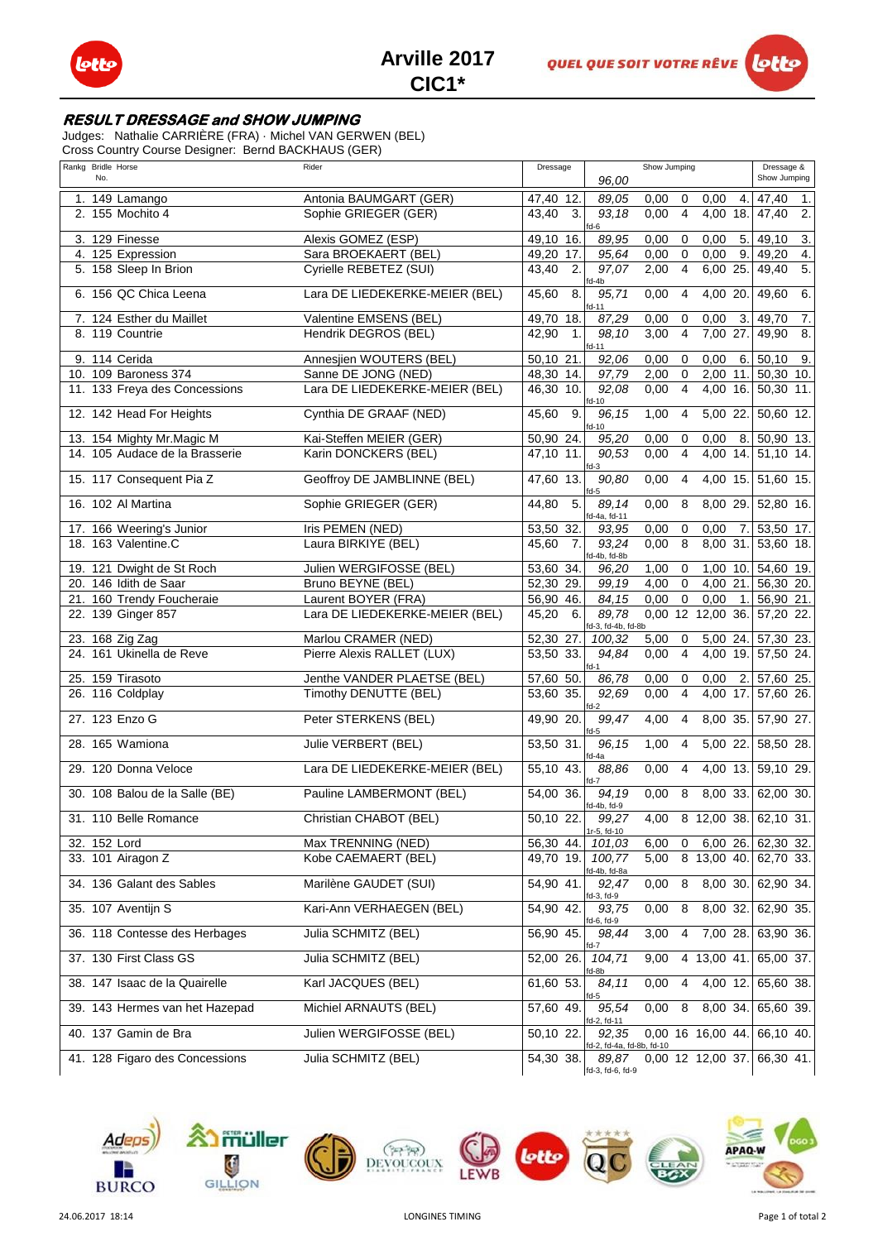

## **RESULT DRESSAGE and SHOW JUMPING**

Judges: Nathalie CARRIÈRE (FRA) · Michel VAN GERWEN (BEL)

Cross Country Course Designer: Bernd BACKHAUS (GER)

| Rankg Bridle Horse<br>No.      | Rider                          | Dressage                | 96,00                              | Show Jumping           |                   | Dressage &<br>Show Jumping |
|--------------------------------|--------------------------------|-------------------------|------------------------------------|------------------------|-------------------|----------------------------|
| 1. 149 Lamango                 | Antonia BAUMGART (GER)         | 47,40 12.               | 89,05                              | 0,00<br>0              | 4.<br>0,00        | 47,40<br>1.                |
| 2. 155 Mochito 4               | Sophie GRIEGER (GER)           | 3.<br>43,40             | 93,18<br>$f$ d-6                   | 0,00<br>$\overline{4}$ | 4,00<br>18.       | 2.<br>47,40                |
| 3. 129 Finesse                 | Alexis GOMEZ (ESP)             | 49,10<br>16.            | 89,95                              | 0,00<br>0              | 5.<br>0,00        | 49,10<br>3.                |
| 4. 125 Expression              | Sara BROEKAERT (BEL)           | 49,20<br>17.            | 95.64                              | $\Omega$<br>0,00       | 0,00<br>9.        | 49,20<br>4.                |
| 5. 158 Sleep In Brion          | Cyrielle REBETEZ (SUI)         | 2.<br>43.40             | 97,07                              | $\overline{4}$<br>2,00 | 6,00 25.          | 5.<br>49,40                |
| 6. 156 QC Chica Leena          | Lara DE LIEDEKERKE-MEIER (BEL) | 45,60<br>8.             | $fd-4b$<br>95,71<br>$fd-11$        | 0,00<br>$\overline{4}$ | 4,00 20.          | 6.<br>49,60                |
| 7. 124 Esther du Maillet       | Valentine EMSENS (BEL)         | 49,70 18.               | 87,29                              | 0,00<br>0              | 3.<br>0,00        | 49,70<br>7.                |
| 8. 119 Countrie                | Hendrik DEGROS (BEL)           | 42,90<br>$\mathbf{1}$ . | 98.10<br>$fd-11$                   | 3,00<br>$\overline{4}$ | 7,00<br>27.       | 49,90<br>8.                |
| 9. 114 Cerida                  | Annesjien WOUTERS (BEL)        | 50,10 21.               | 92,06                              | 0,00<br>$\mathbf 0$    | 0,00<br>6.        | 50,10<br>9.                |
| 10. 109 Baroness 374           | Sanne DE JONG (NED)            | 48,30 14.               | 97,79                              | 2,00<br>$\mathbf 0$    | 11.<br>2,00       | 50,30 10.                  |
| 11. 133 Freya des Concessions  | Lara DE LIEDEKERKE-MEIER (BEL) | $46,30$ 10.             | 92,08<br>$fd-10$                   | 0,00<br>$\overline{4}$ | 4,00              | 16. 50,30 11.              |
| 12. 142 Head For Heights       | Cynthia DE GRAAF (NED)         | 9.<br>45,60             | 96,15<br>$fd-10$                   | 1,00<br>4              | 5,00 22.          | 50,60 12.                  |
| 13. 154 Mighty Mr. Magic M     | Kai-Steffen MEIER (GER)        | 50,90 24.               | 95,20                              | 0,00<br>0              | 0,00<br>8.        | 50,90 13.                  |
| 14. 105 Audace de la Brasserie | Karin DONCKERS (BEL)           | $47,10$ 11.             | 90.53<br>$fd-3$                    | 0,00<br>$\overline{4}$ | $4,00$ 14.        | 51,10 14.                  |
| 15. 117 Consequent Pia Z       | Geoffroy DE JAMBLINNE (BEL)    | 47,60 13.               | 90,80<br>$fd-5$                    | 0,00<br>$\overline{4}$ | 4,00 15.          | $51,60$ 15.                |
| 16. 102 Al Martina             | Sophie GRIEGER (GER)           | 5.<br>44,80             | 89.14<br>fd-4a, fd-11              | 0,00<br>8              | 8,00 29.          | 52,80 16.                  |
| 17. 166 Weering's Junior       | Iris PEMEN (NED)               | 53,50 32.               | 93,95                              | 0,00<br>0              | 0,00<br>7.        | $\overline{53,50}$ 17.     |
| 18. 163 Valentine.C            | Laura BIRKIYE (BEL)            | 45,60<br>7.             | 93,24<br>fd-4b, fd-8b              | 8<br>0,00              | 8,00 31.          | 53,60 18.                  |
| 19. 121 Dwight de St Roch      | Julien WERGIFOSSE (BEL)        | 53,60 34.               | 96,20                              | 1,00<br>0              | 1,00<br>10.       | 54,60 19.                  |
| 20. 146 Idith de Saar          | Bruno BEYNE (BEL)              | 52,30 29.               | 99,19                              | $\mathbf 0$<br>4,00    | 4.00 21.          | 56,30 20.                  |
| 21. 160 Trendy Foucheraie      | Laurent BOYER (FRA)            | 56,90 46.               | 84,15                              | $\mathbf 0$<br>0,00    | 0,00<br>1.        | 56,90 21.                  |
| 22. 139 Ginger 857             | Lara DE LIEDEKERKE-MEIER (BEL) | 45,20<br>6.             | 89,78<br>fd-3, fd-4b, fd-8b        |                        | 0,00 12 12,00 36. | 57,20 22.                  |
| 23. 168 Zig Zag                | Marlou CRAMER (NED)            | 52,30 27.               | 100,32                             | 5,00<br>$\mathbf 0$    | 5,00 24.          | 57,30 23.                  |
| 24. 161 Ukinella de Reve       | Pierre Alexis RALLET (LUX)     | 53,50 33.               | 94.84<br>$fd-1$                    | 0,00<br>$\overline{4}$ | 4,00              | 19. 57,50 24.              |
| 25. 159 Tirasoto               | Jenthe VANDER PLAETSE (BEL)    | 57,60 50.               | 86,78                              | 0,00<br>0              | 0,00<br>2.        | 57,60 25.                  |
| 26. 116 Coldplay               | Timothy DENUTTE (BEL)          | $53,60$ 35.             | 92.69<br>$fd-2$                    | 0,00<br>$\overline{4}$ | 4,00<br>17.       | 57,60 26.                  |
| 27. 123 Enzo G                 | Peter STERKENS (BEL)           | 49,90 20.               | 99,47<br>$fd-5$                    | 4,00<br>$\overline{4}$ |                   | 8,00 35. 57,90 27.         |
| 28. 165 Wamiona                | Julie VERBERT (BEL)            | 53,50 31.               | 96.15<br>fd-4a                     | 1,00<br>$\overline{4}$ | 5,00 22.          | 58,50 28.                  |
| 29. 120 Donna Veloce           | Lara DE LIEDEKERKE-MEIER (BEL) | 55,10 43.               | 88.86<br>$fd-7$                    | 0,00<br>$\overline{4}$ | 4,00 13.          | 59,10 29.                  |
| 30. 108 Balou de la Salle (BE) | Pauline LAMBERMONT (BEL)       | 54,00 36.               | 94,19<br>$fd-4b, fd-9$             | 0,00<br>8              | 8,00 33.          | 62,00 30.                  |
| 31. 110 Belle Romance          | Christian CHABOT (BEL)         | 50,10 22.               | 99,27<br>1r-5, fd-10               | 4,00                   |                   | 8 12,00 38. 62,10 31.      |
| 32. 152 Lord                   | Max TRENNING (NED)             | 56,30 44.               | 101,03                             | 6,00<br>0              |                   | 6,00 26. 62,30 32.         |
| 33. 101 Airagon Z              | Kobe CAEMAERT (BEL)            | 49,70 19.               | 100.77<br>fd-4b, fd-8a             | 5,00                   | $8$ 13,00 40.     | 62,70 33.                  |
| 34. 136 Galant des Sables      | Marilène GAUDET (SUI)          | 54,90 41.               | 92,47<br>fd-3, fd-9                | 8<br>0,00              | 8,00 30.          | 62,90 34.                  |
| 35. 107 Aventijn S             | Kari-Ann VERHAEGEN (BEL)       | 54,90 42.               | 93,75<br>fd-6, fd-9                | 0,00<br>8              | 8,00 32.          | 62,90 35.                  |
| 36. 118 Contesse des Herbages  | Julia SCHMITZ (BEL)            | 56,90 45.               | 98,44<br>fd-7                      | 3,00<br>4              | 7,00 28.          | 63,90 36.                  |
| 37. 130 First Class GS         | Julia SCHMITZ (BEL)            | 52,00 26.               | 104,71<br>fd-8b                    | 9,00                   | 4 13,00 41.       | 65,00 37.                  |
| 38. 147 Isaac de la Quairelle  | Karl JACQUES (BEL)             | 61,60 53.               | 84,11<br>$fd-5$                    | 0,00<br>4              | 4,00 12.          | 65,60 38.                  |
| 39. 143 Hermes van het Hazepad | Michiel ARNAUTS (BEL)          | 57,60 49.               | 95,54<br>fd-2, fd-11               | 0,00<br>8              | 8,00 34.          | 65,60 39.                  |
| 40. 137 Gamin de Bra           | Julien WERGIFOSSE (BEL)        | 50,10 22.               | 92,35<br>fd-2, fd-4a, fd-8b, fd-10 |                        | 0,00 16 16,00 44. | 66,10 40.                  |
| 41. 128 Figaro des Concessions | Julia SCHMITZ (BEL)            | 54,30 38.               | 89,87<br>fd-3, fd-6, fd-9          |                        | 0,00 12 12,00 37. | 66,30 41.                  |